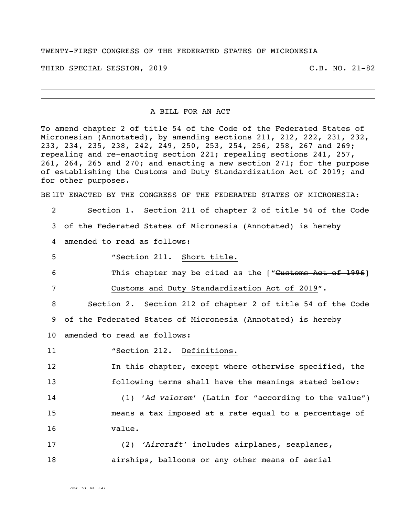TWENTY-FIRST CONGRESS OF THE FEDERATED STATES OF MICRONESIA

THIRD SPECIAL SESSION, 2019 C.B. NO. 21-82

## A BILL FOR AN ACT

To amend chapter 2 of title 54 of the Code of the Federated States of Micronesian (Annotated), by amending sections 211, 212, 222, 231, 232, 233, 234, 235, 238, 242, 249, 250, 253, 254, 256, 258, 267 and 269; repealing and re-enacting section 221; repealing sections 241, 257, 261, 264, 265 and 270; and enacting a new section 271; for the purpose of establishing the Customs and Duty Standardization Act of 2019; and for other purposes.

BE IIT ENACTED BY THE CONGRESS OF THE FEDERATED STATES OF MICRONESIA:

- 2 Section 1. Section 211 of chapter 2 of title 54 of the Code 3 of the Federated States of Micronesia (Annotated) is hereby
- 4 amended to read as follows:
- 5 "Section 211. Short title.

6 This chapter may be cited as the ["Customs Act of 1996]

7 Customs and Duty Standardization Act of 2019".

8 Section 2. Section 212 of chapter 2 of title 54 of the Code 9 of the Federated States of Micronesia (Annotated) is hereby 10 amended to read as follows:

11 \*Section 212. Definitions.

12 In this chapter, except where otherwise specified, the 13 following terms shall have the meanings stated below:

14 (1) '*Ad valorem*' (Latin for "according to the value") 15 means a tax imposed at a rate equal to a percentage of 16 value.

17 (2) *'Aircraft*' includes airplanes, seaplanes, 18 airships, balloons or any other means of aerial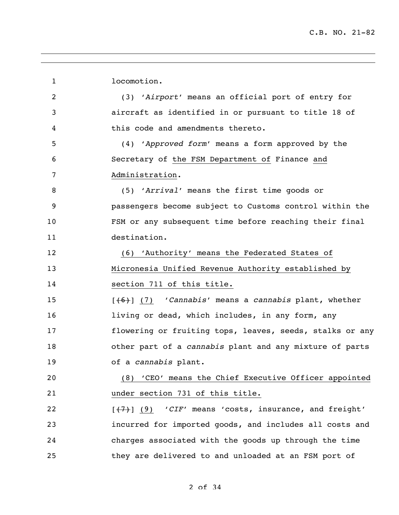locomotion. (3) '*Airport*' means an official port of entry for aircraft as identified in or pursuant to title 18 of this code and amendments thereto. (4) '*Approved form*' means a form approved by the Secretary of the FSM Department of Finance and Administration. (5) '*Arrival*' means the first time goods or passengers become subject to Customs control within the FSM or any subsequent time before reaching their final destination. (6) 'Authority' means the Federated States of Micronesia Unified Revenue Authority established by section 711 of this title. [(6)] (7) '*Cannabis*' means a *cannabis* plant, whether 16 living or dead, which includes, in any form, any flowering or fruiting tops, leaves, seeds, stalks or any other part of a *cannabis* plant and any mixture of parts of a *cannabis* plant. (8) 'CEO' means the Chief Executive Officer appointed under section 731 of this title. 22 [(7)] (9) 'CIF' means 'costs, insurance, and freight' incurred for imported goods, and includes all costs and charges associated with the goods up through the time they are delivered to and unloaded at an FSM port of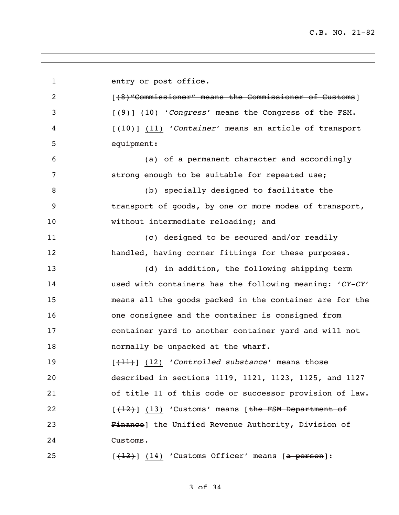entry or post office. **1200** [(8) "Commissioner" means the Commissioner of Customs] [(9)] (10) '*Congress*' means the Congress of the FSM. [(10)] (11) '*Container*' means an article of transport equipment: (a) of a permanent character and accordingly strong enough to be suitable for repeated use; (b) specially designed to facilitate the transport of goods, by one or more modes of transport, without intermediate reloading; and (c) designed to be secured and/or readily handled, having corner fittings for these purposes. (d) in addition, the following shipping term used with containers has the following meaning: '*CY-CY*' means all the goods packed in the container are for the one consignee and the container is consigned from container yard to another container yard and will not **normally** be unpacked at the wharf. [(11)] (12) '*Controlled substance*' means those described in sections 1119, 1121, 1123, 1125, and 1127 of title 11 of this code or successor provision of law. 22 [(12)] (13) 'Customs' means [the FSM Department of 23 Finance] the Unified Revenue Authority, Division of Customs.  $[\frac{13}{13}]$  (14) 'Customs Officer' means  $[a$  person]:

## of 34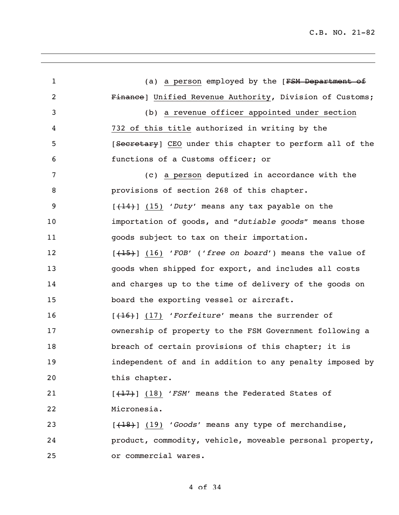1 (a) a person employed by the [FSM Department of Finance] Unified Revenue Authority, Division of Customs; (b) a revenue officer appointed under section 732 of this title authorized in writing by the 5 [Secretary] CEO under this chapter to perform all of the functions of a Customs officer; or (c) a person deputized in accordance with the provisions of section 268 of this chapter. [(14)] (15) '*Duty*' means any tax payable on the importation of goods, and "*dutiable goods*" means those goods subject to tax on their importation. [(15)] (16) '*FOB*' ('*free on board*') means the value of goods when shipped for export, and includes all costs and charges up to the time of delivery of the goods on board the exporting vessel or aircraft. [(16)] (17) '*Forfeiture*' means the surrender of ownership of property to the FSM Government following a 18 breach of certain provisions of this chapter; it is independent of and in addition to any penalty imposed by this chapter. 21 [(17)] (18) '*FSM'* means the Federated States of Micronesia. [(18)] (19) '*Goods*' means any type of merchandise, product, commodity, vehicle, moveable personal property, or commercial wares.

## of 34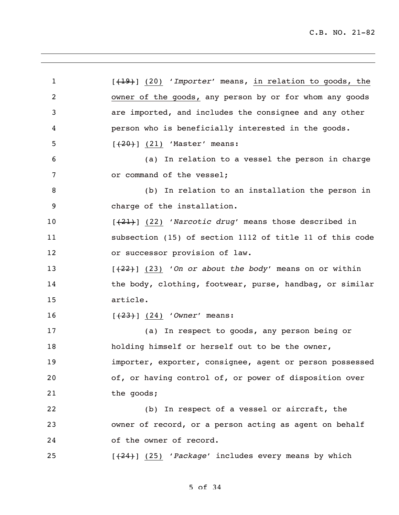[(19)] (20) '*Importer*' means, in relation to goods, the owner of the goods, any person by or for whom any goods are imported, and includes the consignee and any other person who is beneficially interested in the goods. 5 [<del>(20)</del>] (21) 'Master' means: (a) In relation to a vessel the person in charge 7 or command of the vessel; (b) In relation to an installation the person in charge of the installation. [(21)] (22) '*Narcotic drug*' means those described in subsection (15) of section 1112 of title 11 of this code or successor provision of law. **[(22)** (23) '*On or about the body'* means on or within 14 the body, clothing, footwear, purse, handbag, or similar article. [(23)] (24) '*Owner*' means: (a) In respect to goods, any person being or holding himself or herself out to be the owner, importer, exporter, consignee, agent or person possessed of, or having control of, or power of disposition over 21 the goods; (b) In respect of a vessel or aircraft, the owner of record, or a person acting as agent on behalf of the owner of record. [(24)] (25) '*Package*' includes every means by which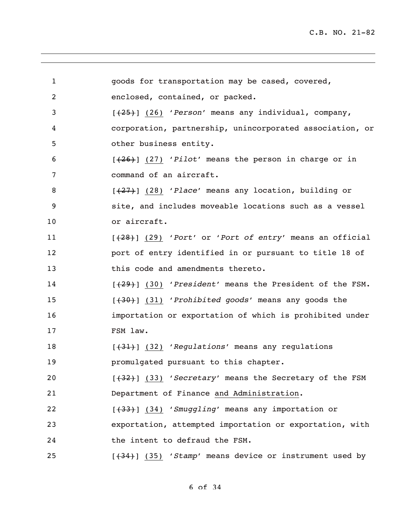| $\mathbf{1}$   | goods for transportation may be cased, covered,                   |
|----------------|-------------------------------------------------------------------|
| $\overline{2}$ | enclosed, contained, or packed.                                   |
| 3              | $[\frac{25}{125}]$ (26) 'Person' means any individual, company,   |
| 4              | corporation, partnership, unincorporated association, or          |
| 5              | other business entity.                                            |
| 6              | $[\frac{26}{126}]$ (27) 'Pilot' means the person in charge or in  |
| 7              | command of an aircraft.                                           |
| 8              | $[\frac{27}{1}]$ (28) 'Place' means any location, building or     |
| 9              | site, and includes moveable locations such as a vessel            |
| 10             | or aircraft.                                                      |
| 11             | $[+28]$ (29) 'Port' or 'Port of entry' means an official          |
| 12             | port of entry identified in or pursuant to title 18 of            |
| 13             | this code and amendments thereto.                                 |
| 14             | $[+29]$ (30) 'President' means the President of the FSM.          |
| 15             | $[+30]$ (31) 'Prohibited goods' means any goods the               |
| 16             | importation or exportation of which is prohibited under           |
| 17             | FSM law.                                                          |
| 18             | $[+31]$ (32) 'Regulations' means any regulations                  |
| 19             | promulgated pursuant to this chapter.                             |
| 20             | $[\frac{432}{1}]$ (33) 'Secretary' means the Secretary of the FSM |
| 21             | Department of Finance and Administration.                         |
| 22             | [(34) 'Smuggling' means any importation or                        |
| 23             | exportation, attempted importation or exportation, with           |
| 24             | the intent to defraud the FSM.                                    |
| 25             | $[+34]$ (35) 'Stamp' means device or instrument used by           |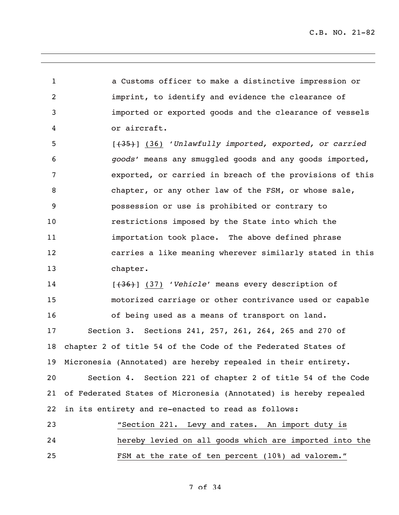C.B. NO. 21-82

 a Customs officer to make a distinctive impression or imprint, to identify and evidence the clearance of imported or exported goods and the clearance of vessels or aircraft.

 [(35)] (36) '*Unlawfully imported, exported, or carried goods*' means any smuggled goods and any goods imported, exported, or carried in breach of the provisions of this chapter, or any other law of the FSM, or whose sale, possession or use is prohibited or contrary to restrictions imposed by the State into which the importation took place. The above defined phrase carries a like meaning wherever similarly stated in this chapter.

 [(36)] (37) '*Vehicle*' means every description of motorized carriage or other contrivance used or capable of being used as a means of transport on land. Section 3. Sections 241, 257, 261, 264, 265 and 270 of

 chapter 2 of title 54 of the Code of the Federated States of Micronesia (Annotated) are hereby repealed in their entirety.

 Section 4. Section 221 of chapter 2 of title 54 of the Code of Federated States of Micronesia (Annotated) is hereby repealed in its entirety and re-enacted to read as follows:

 "Section 221. Levy and rates. An import duty is hereby levied on all goods which are imported into the FSM at the rate of ten percent (10%) ad valorem."

of 34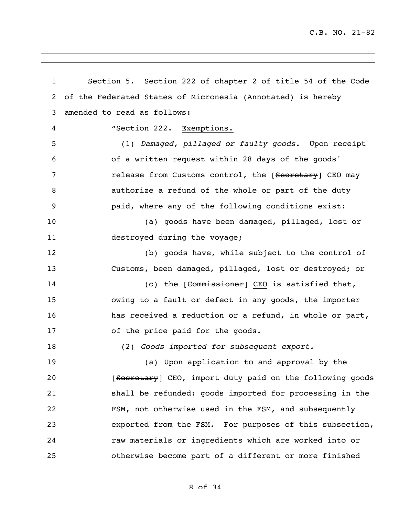C.B. NO. 21-82

 Section 5. Section 222 of chapter 2 of title 54 of the Code of the Federated States of Micronesia (Annotated) is hereby amended to read as follows: "Section 222. Exemptions. (1) *Damaged, pillaged or faulty goods.* Upon receipt of a written request within 28 days of the goods' 7 release from Customs control, the [Secretary] CEO may authorize a refund of the whole or part of the duty paid, where any of the following conditions exist: (a) goods have been damaged, pillaged, lost or 11 destroyed during the voyage; (b) goods have, while subject to the control of Customs, been damaged, pillaged, lost or destroyed; or 14 (c) the [<del>Commissioner</del>] CEO is satisfied that, owing to a fault or defect in any goods, the importer has received a reduction or a refund, in whole or part, of the price paid for the goods. (2) *Goods imported for subsequent export.* (a) Upon application to and approval by the **EXECO [Secretary**] CEO, import duty paid on the following goods shall be refunded: goods imported for processing in the FSM, not otherwise used in the FSM, and subsequently exported from the FSM. For purposes of this subsection, raw materials or ingredients which are worked into or otherwise become part of a different or more finished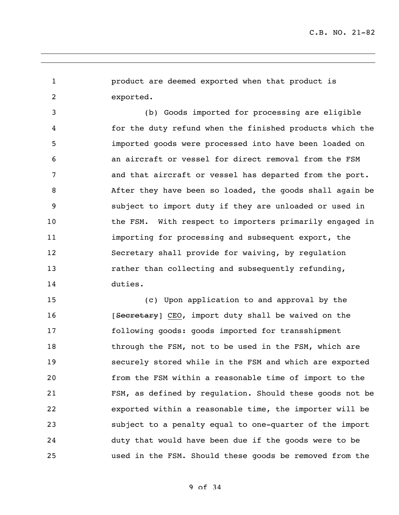product are deemed exported when that product is exported.

 (b) Goods imported for processing are eligible for the duty refund when the finished products which the imported goods were processed into have been loaded on an aircraft or vessel for direct removal from the FSM and that aircraft or vessel has departed from the port. After they have been so loaded, the goods shall again be subject to import duty if they are unloaded or used in 10 the FSM. With respect to importers primarily engaged in importing for processing and subsequent export, the Secretary shall provide for waiving, by regulation **rather than collecting and subsequently refunding,** duties.

 (c) Upon application to and approval by the 16 [Secretary] CEO, import duty shall be waived on the following goods: goods imported for transshipment 18 through the FSM, not to be used in the FSM, which are securely stored while in the FSM and which are exported from the FSM within a reasonable time of import to the FSM, as defined by regulation. Should these goods not be exported within a reasonable time, the importer will be subject to a penalty equal to one-quarter of the import duty that would have been due if the goods were to be used in the FSM. Should these goods be removed from the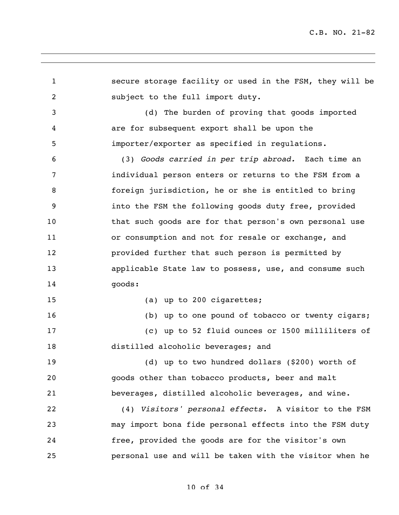secure storage facility or used in the FSM, they will be subject to the full import duty. (d) The burden of proving that goods imported are for subsequent export shall be upon the importer/exporter as specified in regulations. (3) *Goods carried in per trip abroad.* Each time an individual person enters or returns to the FSM from a foreign jurisdiction, he or she is entitled to bring into the FSM the following goods duty free, provided that such goods are for that person's own personal use 11 or consumption and not for resale or exchange, and provided further that such person is permitted by applicable State law to possess, use, and consume such goods: 15 (a) up to 200 cigarettes; (b) up to one pound of tobacco or twenty cigars; (c) up to 52 fluid ounces or 1500 milliliters of distilled alcoholic beverages; and (d) up to two hundred dollars (\$200) worth of goods other than tobacco products, beer and malt beverages, distilled alcoholic beverages, and wine. (4) *Visitors' personal effects.* A visitor to the FSM may import bona fide personal effects into the FSM duty free, provided the goods are for the visitor's own personal use and will be taken with the visitor when he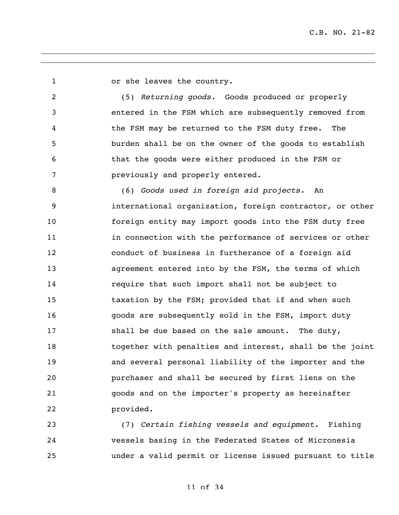or she leaves the country.

 (5) *Returning goods.* Goods produced or properly entered in the FSM which are subsequently removed from the FSM may be returned to the FSM duty free. The burden shall be on the owner of the goods to establish that the goods were either produced in the FSM or previously and properly entered.

 (6) *Goods used in foreign aid projects.* An international organization, foreign contractor, or other foreign entity may import goods into the FSM duty free 11 in connection with the performance of services or other conduct of business in furtherance of a foreign aid agreement entered into by the FSM, the terms of which require that such import shall not be subject to taxation by the FSM; provided that if and when such goods are subsequently sold in the FSM, import duty 17 shall be due based on the sale amount. The duty, together with penalties and interest, shall be the joint and several personal liability of the importer and the purchaser and shall be secured by first liens on the goods and on the importer's property as hereinafter provided.

 (7) *Certain fishing vessels and equipment.* Fishing vessels basing in the Federated States of Micronesia under a valid permit or license issued pursuant to title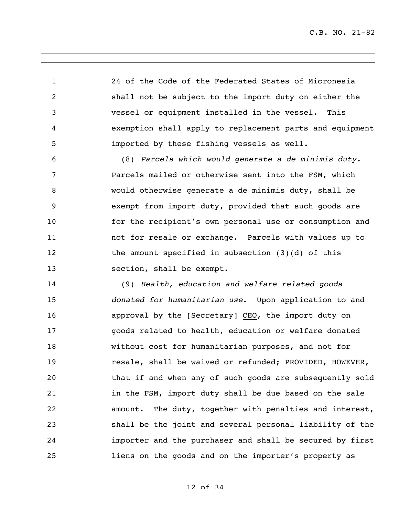C.B. NO. 21-82

 24 of the Code of the Federated States of Micronesia shall not be subject to the import duty on either the vessel or equipment installed in the vessel. This exemption shall apply to replacement parts and equipment imported by these fishing vessels as well.

 (8) *Parcels which would generate a de minimis duty.*  Parcels mailed or otherwise sent into the FSM, which would otherwise generate a de minimis duty, shall be exempt from import duty, provided that such goods are for the recipient's own personal use or consumption and not for resale or exchange. Parcels with values up to 12 the amount specified in subsection (3)(d) of this 13 section, shall be exempt.

 (9) *Health, education and welfare related goods donated for humanitarian use*. Upon application to and **approval by the [Secretary] CEO, the import duty on**  goods related to health, education or welfare donated without cost for humanitarian purposes, and not for **resale, shall be waived or refunded; PROVIDED, HOWEVER,**  that if and when any of such goods are subsequently sold 21 in the FSM, import duty shall be due based on the sale amount. The duty, together with penalties and interest, shall be the joint and several personal liability of the importer and the purchaser and shall be secured by first liens on the goods and on the importer's property as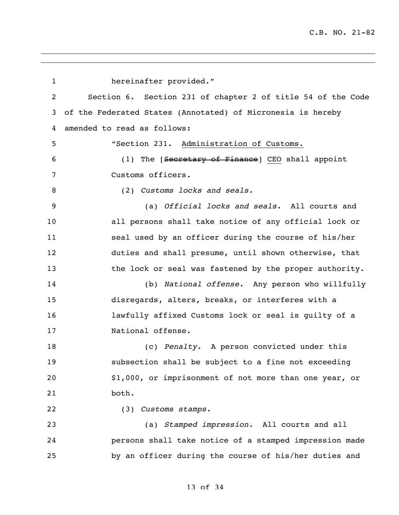hereinafter provided." Section 6. Section 231 of chapter 2 of title 54 of the Code of the Federated States (Annotated) of Micronesia is hereby amended to read as follows: "Section 231. Administration of Customs. 6 (1) The [<del>Secretary of Finance</del>] CEO shall appoint Customs officers. (2) *Customs locks and seals.* (a) *Official locks and seals.* All courts and all persons shall take notice of any official lock or seal used by an officer during the course of his/her duties and shall presume, until shown otherwise, that 13 the lock or seal was fastened by the proper authority. (b) *National offense.* Any person who willfully disregards, alters, breaks, or interferes with a lawfully affixed Customs lock or seal is guilty of a National offense. (c) *Penalty.* A person convicted under this subsection shall be subject to a fine not exceeding \$1,000, or imprisonment of not more than one year, or both. (3) *Customs stamps.* (a) *Stamped impression.* All courts and all persons shall take notice of a stamped impression made by an officer during the course of his/her duties and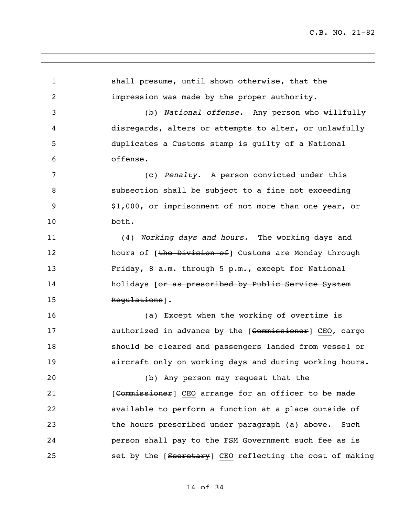shall presume, until shown otherwise, that the impression was made by the proper authority. (b) *National offense.* Any person who willfully disregards, alters or attempts to alter, or unlawfully duplicates a Customs stamp is guilty of a National offense. (c) *Penalty.* A person convicted under this subsection shall be subject to a fine not exceeding \$1,000, or imprisonment of not more than one year, or both. (4) *Working days and hours.* The working days and 12 hours of [the Division of] Customs are Monday through Friday, 8 a.m. through 5 p.m., except for National 14 holidays [or as prescribed by Public Service System 15 Regulations ]. (a) Except when the working of overtime is **authorized in advance by the [Commissioner]** CEO, cargo should be cleared and passengers landed from vessel or aircraft only on working days and during working hours. (b) Any person may request that the 21 [Commissioner] CEO arrange for an officer to be made available to perform a function at a place outside of the hours prescribed under paragraph (a) above. Such person shall pay to the FSM Government such fee as is 25 set by the [Secretary] CEO reflecting the cost of making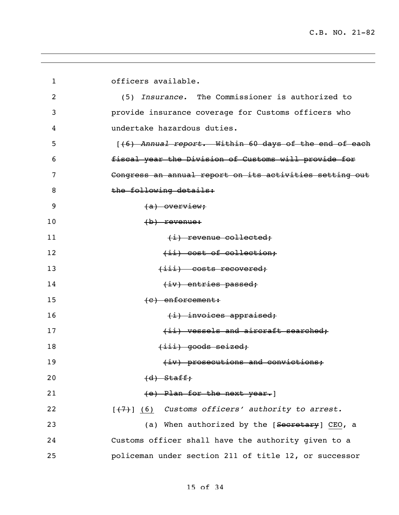| $\mathbf 1$ | officers available.                                                     |
|-------------|-------------------------------------------------------------------------|
| 2           | (5) Insurance. The Commissioner is authorized to                        |
| 3           | provide insurance coverage for Customs officers who                     |
| 4           | undertake hazardous duties.                                             |
| 5           | [(6) Annual report. Within 60 days of the end of each                   |
| 6           | fiscal year the Division of Customs will provide for                    |
| 7           | Congress an annual report on its activities setting out                 |
| 8           | the following details:                                                  |
| 9           | $(a)$ overview;                                                         |
| 10          | $(b)$ revenue:                                                          |
| 11          | $(i)$ revenue collected;                                                |
| 12          | (ii) cost of collection;                                                |
| 13          | $(iii)$ costs recovered;                                                |
| 14          | $(iv)$ entries passed;                                                  |
| 15          | $(e)$ enforcement:                                                      |
| 16          | $(i)$ invoices appraised;                                               |
| 17          | (ii) vessels and aircraft searched;                                     |
| 18          | $(iii)$ goods seized;                                                   |
| 19          | (iv) prosecutions and convictions;                                      |
| 20          | $(d)$ Staff,                                                            |
| 21          | (e) Plan for the next year.                                             |
| 22          | $[\frac{1}{2}, \frac{1}{2}]$ (6) Customs officers' authority to arrest. |
| 23          | (a) When authorized by the [Secretary] CEO, a                           |
| 24          | Customs officer shall have the authority given to a                     |
| 25          | policeman under section 211 of title 12, or successor                   |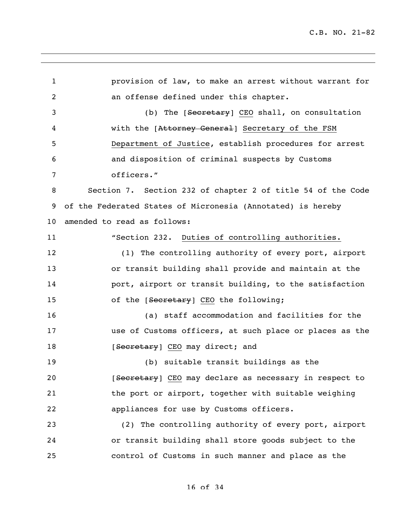provision of law, to make an arrest without warrant for an offense defined under this chapter. 3 (b) The [Secretary] CEO shall, on consultation 4 with the [Attorney General] Secretary of the FSM Department of Justice, establish procedures for arrest and disposition of criminal suspects by Customs officers." Section 7. Section 232 of chapter 2 of title 54 of the Code of the Federated States of Micronesia (Annotated) is hereby amended to read as follows: "Section 232. Duties of controlling authorities. (1) The controlling authority of every port, airport or transit building shall provide and maintain at the **port, airport or transit building, to the satisfaction** 15 of the [Secretary] CEO the following; (a) staff accommodation and facilities for the use of Customs officers, at such place or places as the 18 [Secretary] CEO may direct; and (b) suitable transit buildings as the **EXECUTE:** [Secretary] CEO may declare as necessary in respect to 21 the port or airport, together with suitable weighing appliances for use by Customs officers. (2) The controlling authority of every port, airport or transit building shall store goods subject to the control of Customs in such manner and place as the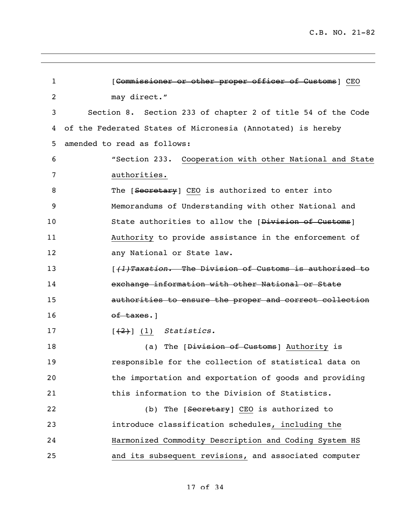| $\mathbf 1$    | [Commissioner or other proper officer of Customs] CEO              |
|----------------|--------------------------------------------------------------------|
| $\overline{2}$ | may direct."                                                       |
| 3              | Section 8. Section 233 of chapter 2 of title 54 of the Code        |
| 4              | of the Federated States of Micronesia (Annotated) is hereby        |
| 5              | amended to read as follows:                                        |
| 6              | "Section 233. Cooperation with other National and State            |
| 7              | authorities.                                                       |
| 8              | The [Secretary] CEO is authorized to enter into                    |
| 9              | Memorandums of Understanding with other National and               |
| 10             | State authorities to allow the [Division of Customs]               |
| 11             | Authority to provide assistance in the enforcement of              |
| 12             | any National or State law.                                         |
| 13             | [ <del>(1)Taxation. The Division of Customs is authorized to</del> |
| 14             | exchange information with other National or State                  |
| 15             | authorities to ensure the proper and correct collection            |
| 16             | of taxes.                                                          |
| 17             | $[\frac{2}{3}]$ (1) Statistics.                                    |
| 18             | (a) The [Division of Customs] Authority is                         |
| 19             | responsible for the collection of statistical data on              |
| 20             | the importation and exportation of goods and providing             |
| 21             | this information to the Division of Statistics.                    |
| 22             | (b) The [Secretary] CEO is authorized to                           |
| 23             | introduce classification schedules, including the                  |
| 24             | Harmonized Commodity Description and Coding System HS              |
| 25             | and its subsequent revisions, and associated computer              |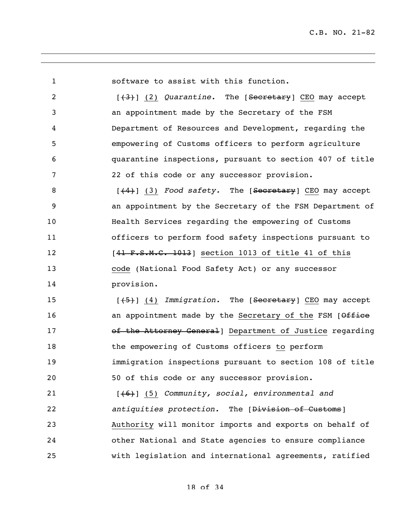software to assist with this function. 2 [(3)] (2) *Quarantine*. The [Secretary] CEO may accept an appointment made by the Secretary of the FSM Department of Resources and Development, regarding the empowering of Customs officers to perform agriculture quarantine inspections, pursuant to section 407 of title 22 of this code or any successor provision. 8 [<del>(4)</del>] (3) *Food safety*. The [<del>Secretary</del>] CEO may accept an appointment by the Secretary of the FSM Department of Health Services regarding the empowering of Customs officers to perform food safety inspections pursuant to 12 [41 F.S.M.C. 1013] section 1013 of title 41 of this code (National Food Safety Act) or any successor provision. 15 [(5)] (4) *Immigration*. The [Secretary] CEO may accept 16 an appointment made by the Secretary of the FSM [Office **17** of the Attorney General Department of Justice regarding the empowering of Customs officers to perform immigration inspections pursuant to section 108 of title 50 of this code or any successor provision. [(6)] (5) *Community, social, environmental and antiquities protection.* The [Division of Customs] Authority will monitor imports and exports on behalf of other National and State agencies to ensure compliance with legislation and international agreements, ratified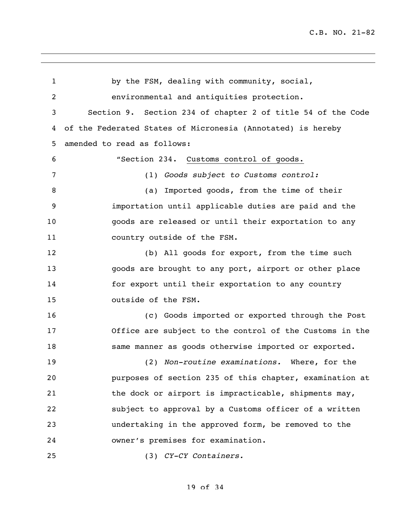by the FSM, dealing with community, social, environmental and antiquities protection. Section 9. Section 234 of chapter 2 of title 54 of the Code of the Federated States of Micronesia (Annotated) is hereby amended to read as follows: "Section 234. Customs control of goods. (1) *Goods subject to Customs control:* 8 (a) Imported goods, from the time of their importation until applicable duties are paid and the goods are released or until their exportation to any country outside of the FSM. (b) All goods for export, from the time such goods are brought to any port, airport or other place for export until their exportation to any country outside of the FSM. (c) Goods imported or exported through the Post Office are subject to the control of the Customs in the same manner as goods otherwise imported or exported. (2) *Non-routine examinations.* Where, for the purposes of section 235 of this chapter, examination at 21 the dock or airport is impracticable, shipments may, subject to approval by a Customs officer of a written undertaking in the approved form, be removed to the owner's premises for examination. (3) *CY-CY Containers.*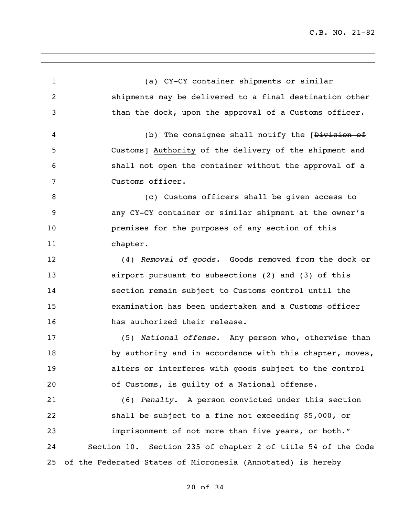(a) CY-CY container shipments or similar shipments may be delivered to a final destination other than the dock, upon the approval of a Customs officer. 4 (b) The consignee shall notify the [<del>Division of</del> **Customs** [ Authority of the delivery of the shipment and shall not open the container without the approval of a Customs officer. (c) Customs officers shall be given access to any CY-CY container or similar shipment at the owner's premises for the purposes of any section of this chapter. (4) *Removal of goods.* Goods removed from the dock or airport pursuant to subsections (2) and (3) of this section remain subject to Customs control until the examination has been undertaken and a Customs officer has authorized their release. (5) *National offense.* Any person who, otherwise than 18 by authority and in accordance with this chapter, moves, alters or interferes with goods subject to the control of Customs, is guilty of a National offense. (6) *Penalty.* A person convicted under this section shall be subject to a fine not exceeding \$5,000, or imprisonment of not more than five years, or both." Section 10. Section 235 of chapter 2 of title 54 of the Code of the Federated States of Micronesia (Annotated) is hereby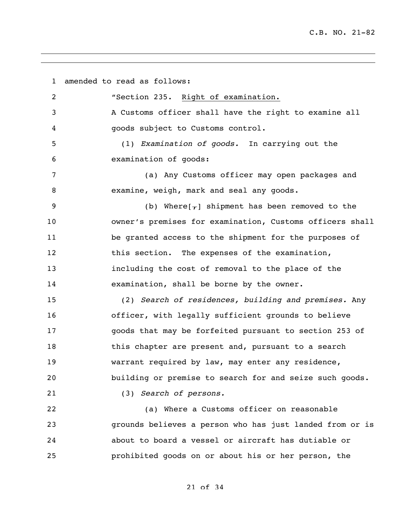amended to read as follows: "Section 235. Right of examination. A Customs officer shall have the right to examine all goods subject to Customs control. (1) *Examination of goods.* In carrying out the examination of goods: (a) Any Customs officer may open packages and examine, weigh, mark and seal any goods. 9 (b) Where $[\tau]$  shipment has been removed to the owner's premises for examination, Customs officers shall be granted access to the shipment for the purposes of this section. The expenses of the examination, including the cost of removal to the place of the examination, shall be borne by the owner. (2) *Search of residences, building and premises.* Any officer, with legally sufficient grounds to believe goods that may be forfeited pursuant to section 253 of 18 this chapter are present and, pursuant to a search warrant required by law, may enter any residence, building or premise to search for and seize such goods. (3) *Search of persons.* (a) Where a Customs officer on reasonable grounds believes a person who has just landed from or is about to board a vessel or aircraft has dutiable or prohibited goods on or about his or her person, the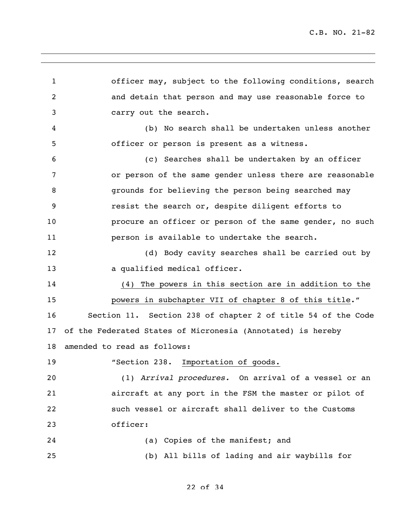officer may, subject to the following conditions, search and detain that person and may use reasonable force to carry out the search. (b) No search shall be undertaken unless another officer or person is present as a witness. (c) Searches shall be undertaken by an officer or person of the same gender unless there are reasonable grounds for believing the person being searched may resist the search or, despite diligent efforts to procure an officer or person of the same gender, no such person is available to undertake the search. (d) Body cavity searches shall be carried out by 13 a qualified medical officer. (4) The powers in this section are in addition to the powers in subchapter VII of chapter 8 of this title." Section 11. Section 238 of chapter 2 of title 54 of the Code of the Federated States of Micronesia (Annotated) is hereby amended to read as follows: 19 The "Section 238. Importation of goods. (1) *Arrival procedures.* On arrival of a vessel or an aircraft at any port in the FSM the master or pilot of such vessel or aircraft shall deliver to the Customs officer: (a) Copies of the manifest; and (b) All bills of lading and air waybills for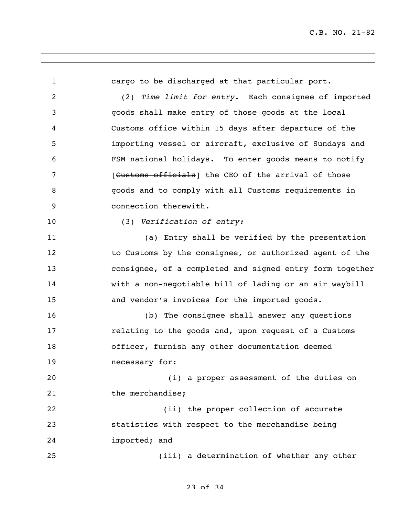cargo to be discharged at that particular port. (2) *Time limit for entry.* Each consignee of imported goods shall make entry of those goods at the local Customs office within 15 days after departure of the importing vessel or aircraft, exclusive of Sundays and FSM national holidays. To enter goods means to notify **19 I** [Customs officials] the CEO of the arrival of those goods and to comply with all Customs requirements in connection therewith. (3) *Verification of entry:* (a) Entry shall be verified by the presentation 12 to Customs by the consignee, or authorized agent of the consignee, of a completed and signed entry form together with a non-negotiable bill of lading or an air waybill and vendor's invoices for the imported goods. (b) The consignee shall answer any questions **relating to the goods and, upon request of a Customs**  officer, furnish any other documentation deemed necessary for: (i) a proper assessment of the duties on 21 the merchandise; 22 (ii) the proper collection of accurate statistics with respect to the merchandise being imported; and (iii) a determination of whether any other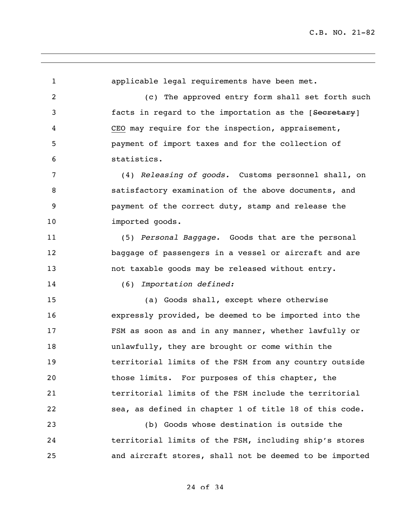applicable legal requirements have been met. (c) The approved entry form shall set forth such **facts** in regard to the importation as the [Secretary] CEO may require for the inspection, appraisement, payment of import taxes and for the collection of statistics. (4) *Releasing of goods.* Customs personnel shall, on satisfactory examination of the above documents, and payment of the correct duty, stamp and release the 10 imported goods. (5) *Personal Baggage.* Goods that are the personal baggage of passengers in a vessel or aircraft and are not taxable goods may be released without entry. (6) *Importation defined:* (a) Goods shall, except where otherwise expressly provided, be deemed to be imported into the FSM as soon as and in any manner, whether lawfully or unlawfully, they are brought or come within the territorial limits of the FSM from any country outside those limits. For purposes of this chapter, the territorial limits of the FSM include the territorial sea, as defined in chapter 1 of title 18 of this code. (b) Goods whose destination is outside the territorial limits of the FSM, including ship's stores and aircraft stores, shall not be deemed to be imported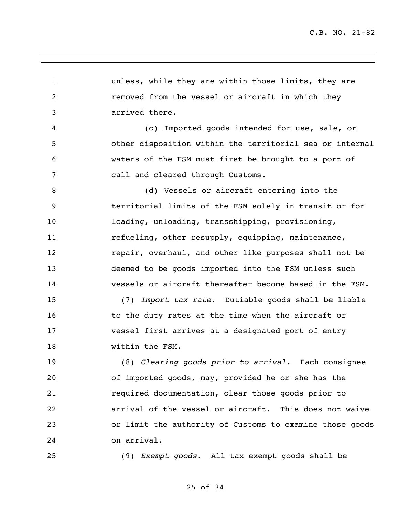unless, while they are within those limits, they are removed from the vessel or aircraft in which they arrived there. (c) Imported goods intended for use, sale, or other disposition within the territorial sea or internal waters of the FSM must first be brought to a port of call and cleared through Customs. (d) Vessels or aircraft entering into the territorial limits of the FSM solely in transit or for loading, unloading, transshipping, provisioning, 11 refueling, other resupply, equipping, maintenance, **12** repair, overhaul, and other like purposes shall not be deemed to be goods imported into the FSM unless such vessels or aircraft thereafter become based in the FSM. (7) *Import tax rate.* Dutiable goods shall be liable 16 16 to the duty rates at the time when the aircraft or vessel first arrives at a designated port of entry within the FSM. (8) *Clearing goods prior to arrival.* Each consignee of imported goods, may, provided he or she has the required documentation, clear those goods prior to arrival of the vessel or aircraft. This does not waive or limit the authority of Customs to examine those goods on arrival. (9) *Exempt goods.* All tax exempt goods shall be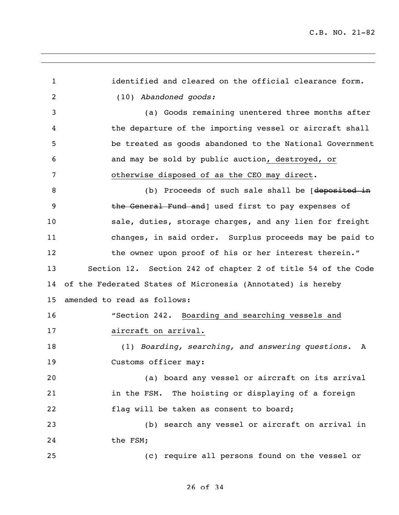| 1  | identified and cleared on the official clearance form.       |
|----|--------------------------------------------------------------|
| 2  | (10) Abandoned goods:                                        |
| 3  | (a) Goods remaining unentered three months after             |
| 4  | the departure of the importing vessel or aircraft shall      |
| 5  | be treated as goods abandoned to the National Government     |
| 6  | and may be sold by public auction, destroyed, or             |
| 7  | otherwise disposed of as the CEO may direct.                 |
| 8  | (b) Proceeds of such sale shall be [deposited in             |
| 9  | the General Fund and   used first to pay expenses of         |
| 10 | sale, duties, storage charges, and any lien for freight      |
| 11 | changes, in said order. Surplus proceeds may be paid to      |
| 12 | the owner upon proof of his or her interest therein."        |
| 13 | Section 12. Section 242 of chapter 2 of title 54 of the Code |
| 14 | of the Federated States of Micronesia (Annotated) is hereby  |
| 15 | amended to read as follows:                                  |
| 16 | "Section 242. Boarding and searching vessels and             |
| 17 | aircraft on arrival.                                         |
| 18 | (1) Boarding, searching, and answering questions.<br>A       |
| 19 | Customs officer may:                                         |
| 20 | (a) board any vessel or aircraft on its arrival              |
| 21 | in the FSM. The hoisting or displaying of a foreign          |
| 22 | flag will be taken as consent to board;                      |
| 23 | (b) search any vessel or aircraft on arrival in              |
| 24 | the FSM;                                                     |
| 25 | (c) require all persons found on the vessel or               |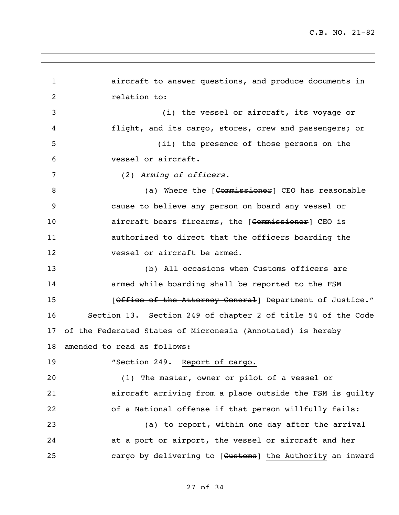aircraft to answer questions, and produce documents in relation to: (i) the vessel or aircraft, its voyage or flight, and its cargo, stores, crew and passengers; or (ii) the presence of those persons on the vessel or aircraft. (2) *Arming of officers.* 8 (a) Where the [<del>Commissioner</del>] CEO has reasonable cause to believe any person on board any vessel or **aircraft bears firearms, the [Commissioner**] CEO is authorized to direct that the officers boarding the vessel or aircraft be armed. (b) All occasions when Customs officers are armed while boarding shall be reported to the FSM **15** [Office of the Attorney General] Department of Justice." Section 13. Section 249 of chapter 2 of title 54 of the Code of the Federated States of Micronesia (Annotated) is hereby amended to read as follows: "Section 249. Report of cargo. (1) The master, owner or pilot of a vessel or aircraft arriving from a place outside the FSM is guilty of a National offense if that person willfully fails: (a) to report, within one day after the arrival at a port or airport, the vessel or aircraft and her 25 cargo by delivering to [Customs] the Authority an inward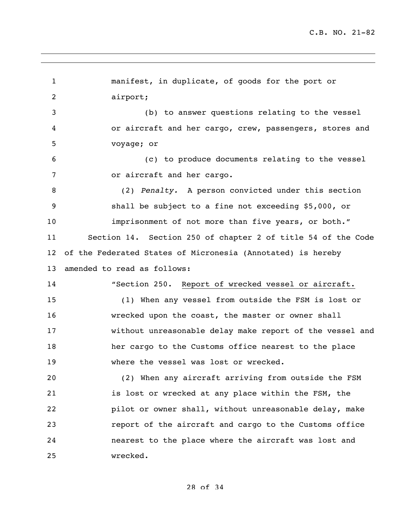manifest, in duplicate, of goods for the port or airport; (b) to answer questions relating to the vessel or aircraft and her cargo, crew, passengers, stores and voyage; or (c) to produce documents relating to the vessel or aircraft and her cargo. (2) *Penalty.* A person convicted under this section shall be subject to a fine not exceeding \$5,000, or imprisonment of not more than five years, or both." Section 14. Section 250 of chapter 2 of title 54 of the Code of the Federated States of Micronesia (Annotated) is hereby amended to read as follows: "Section 250. Report of wrecked vessel or aircraft. (1) When any vessel from outside the FSM is lost or wrecked upon the coast, the master or owner shall without unreasonable delay make report of the vessel and her cargo to the Customs office nearest to the place where the vessel was lost or wrecked. (2) When any aircraft arriving from outside the FSM is lost or wrecked at any place within the FSM, the pilot or owner shall, without unreasonable delay, make report of the aircraft and cargo to the Customs office nearest to the place where the aircraft was lost and wrecked.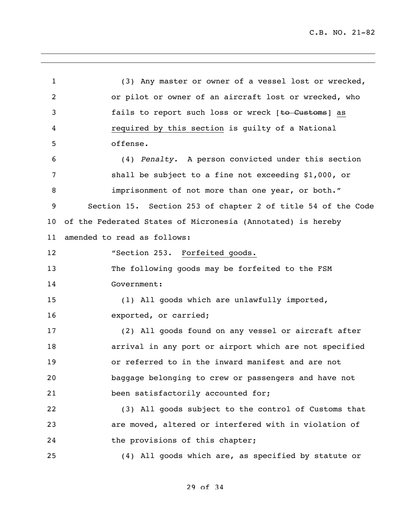C.B. NO. 21-82

 (3) Any master or owner of a vessel lost or wrecked, or pilot or owner of an aircraft lost or wrecked, who **fails to report such loss or wreck** [<del>to Customs</del>] as required by this section is guilty of a National offense. (4) *Penalty.* A person convicted under this section shall be subject to a fine not exceeding \$1,000, or imprisonment of not more than one year, or both." Section 15. Section 253 of chapter 2 of title 54 of the Code of the Federated States of Micronesia (Annotated) is hereby amended to read as follows: **"Section 253. Forfeited goods.**  The following goods may be forfeited to the FSM Government: (1) All goods which are unlawfully imported, exported, or carried; (2) All goods found on any vessel or aircraft after arrival in any port or airport which are not specified or referred to in the inward manifest and are not baggage belonging to crew or passengers and have not been satisfactorily accounted for; (3) All goods subject to the control of Customs that are moved, altered or interfered with in violation of 24 the provisions of this chapter; (4) All goods which are, as specified by statute or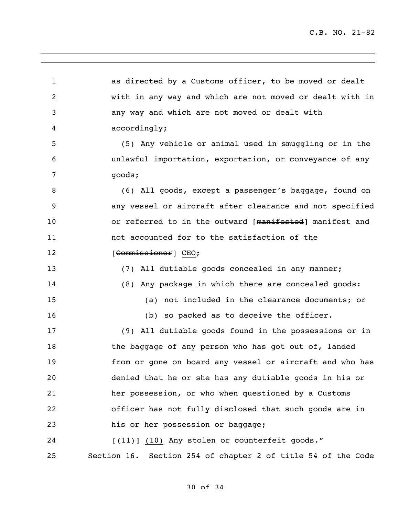as directed by a Customs officer, to be moved or dealt with in any way and which are not moved or dealt with in any way and which are not moved or dealt with accordingly; (5) Any vehicle or animal used in smuggling or in the unlawful importation, exportation, or conveyance of any goods; (6) All goods, except a passenger's baggage, found on any vessel or aircraft after clearance and not specified 10 or referred to in the outward [manifested] manifest and not accounted for to the satisfaction of the 12 [Commissioner] CEO; (7) All dutiable goods concealed in any manner; (8) Any package in which there are concealed goods: (a) not included in the clearance documents; or 16 (b) so packed as to deceive the officer. (9) All dutiable goods found in the possessions or in 18 the baggage of any person who has got out of, landed from or gone on board any vessel or aircraft and who has denied that he or she has any dutiable goods in his or her possession, or who when questioned by a Customs officer has not fully disclosed that such goods are in his or her possession or baggage; 24 [(11)] (10) Any stolen or counterfeit goods." Section 16. Section 254 of chapter 2 of title 54 of the Code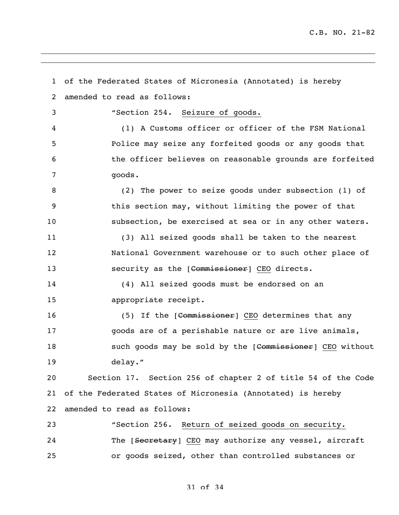of the Federated States of Micronesia (Annotated) is hereby amended to read as follows: "Section 254. Seizure of goods. (1) A Customs officer or officer of the FSM National Police may seize any forfeited goods or any goods that the officer believes on reasonable grounds are forfeited goods. (2) The power to seize goods under subsection (1) of this section may, without limiting the power of that subsection, be exercised at sea or in any other waters. (3) All seized goods shall be taken to the nearest National Government warehouse or to such other place of **SECULARE:** IS SECULTIVE AS the [Commissioner] CEO directs. (4) All seized goods must be endorsed on an appropriate receipt. 16 (5) If the [Commissioner] CEO determines that any goods are of a perishable nature or are live animals, 18 such goods may be sold by the [Commissioner] CEO without delay." Section 17. Section 256 of chapter 2 of title 54 of the Code of the Federated States of Micronesia (Annotated) is hereby amended to read as follows: "Section 256. Return of seized goods on security. 24 The [Secretary] CEO may authorize any vessel, aircraft or goods seized, other than controlled substances or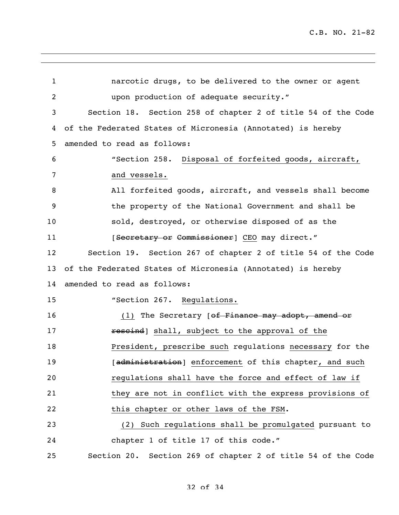narcotic drugs, to be delivered to the owner or agent upon production of adequate security." Section 18. Section 258 of chapter 2 of title 54 of the Code of the Federated States of Micronesia (Annotated) is hereby amended to read as follows: "Section 258. Disposal of forfeited goods, aircraft, and vessels. All forfeited goods, aircraft, and vessels shall become the property of the National Government and shall be sold, destroyed, or otherwise disposed of as the 11 [Secretary or Commissioner] CEO may direct." Section 19. Section 267 of chapter 2 of title 54 of the Code of the Federated States of Micronesia (Annotated) is hereby amended to read as follows: 15 "Section 267. Regulations. 16 (1) The Secretary [<del>of Finance may adopt, amend or</del> **rescind**] shall, subject to the approval of the **President, prescribe such regulations necessary for the Examinial Exercise Enforcement** of this chapter, and such regulations shall have the force and effect of law if 21 they are not in conflict with the express provisions of this chapter or other laws of the FSM. (2) Such regulations shall be promulgated pursuant to chapter 1 of title 17 of this code." Section 20. Section 269 of chapter 2 of title 54 of the Code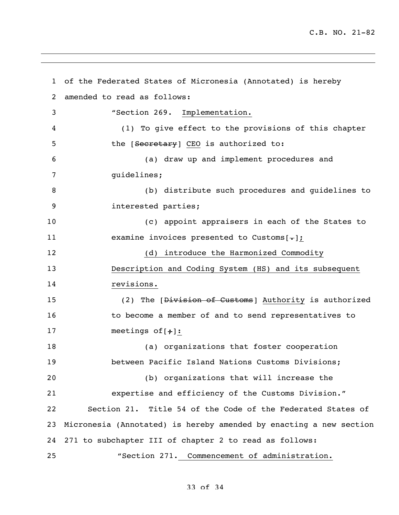C.B. NO. 21-82

 of the Federated States of Micronesia (Annotated) is hereby amended to read as follows: "Section 269. Implementation. (1) To give effect to the provisions of this chapter 5 the [Secretary] CEO is authorized to: (a) draw up and implement procedures and guidelines; (b) distribute such procedures and guidelines to interested parties; (c) appoint appraisers in each of the States to 11 examine invoices presented to Customs[-]; (d) introduce the Harmonized Commodity Description and Coding System (HS) and its subsequent revisions. 15 (2) The [Division of Customs] Authority is authorized 16 to become a member of and to send representatives to 17 meetings of  $[+]$ : (a) organizations that foster cooperation between Pacific Island Nations Customs Divisions; (b) organizations that will increase the expertise and efficiency of the Customs Division." Section 21. Title 54 of the Code of the Federated States of Micronesia (Annotated) is hereby amended by enacting a new section 271 to subchapter III of chapter 2 to read as follows: "Section 271. Commencement of administration.